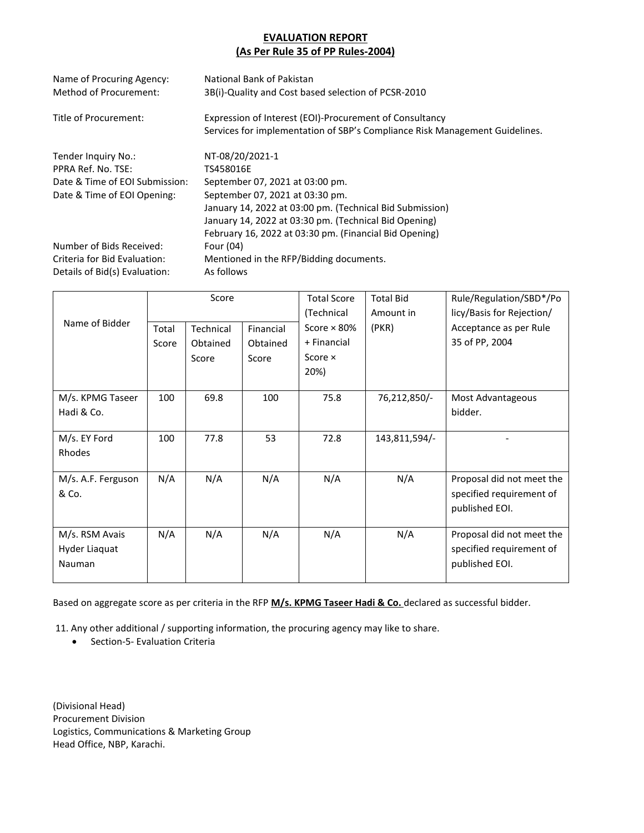## **EVALUATION REPORT (As Per Rule 35 of PP Rules-2004)**

| Name of Procuring Agency:<br>Method of Procurement:                                                        | National Bank of Pakistan<br>3B(i)-Quality and Cost based selection of PCSR-2010                                                                                                      |
|------------------------------------------------------------------------------------------------------------|---------------------------------------------------------------------------------------------------------------------------------------------------------------------------------------|
| Title of Procurement:                                                                                      | Expression of Interest (EOI)-Procurement of Consultancy<br>Services for implementation of SBP's Compliance Risk Management Guidelines.                                                |
| Tender Inquiry No.:<br>PPRA Ref. No. TSE:<br>Date & Time of EOI Submission:<br>Date & Time of EOI Opening: | NT-08/20/2021-1<br>TS458016E<br>September 07, 2021 at 03:00 pm.<br>September 07, 2021 at 03:30 pm.<br>January 14, 2022 at 03:00 pm. (Technical Bid Submission)                        |
| Number of Bids Received:<br>Criteria for Bid Evaluation:<br>Details of Bid(s) Evaluation:                  | January 14, 2022 at 03:30 pm. (Technical Bid Opening)<br>February 16, 2022 at 03:30 pm. (Financial Bid Opening)<br>Four (04)<br>Mentioned in the RFP/Bidding documents.<br>As follows |

|                                                  | Score          |                                |                                | <b>Total Score</b><br>(Technical                     | <b>Total Bid</b><br>Amount in | Rule/Regulation/SBD*/Po<br>licy/Basis for Rejection/                    |  |
|--------------------------------------------------|----------------|--------------------------------|--------------------------------|------------------------------------------------------|-------------------------------|-------------------------------------------------------------------------|--|
| Name of Bidder                                   | Total<br>Score | Technical<br>Obtained<br>Score | Financial<br>Obtained<br>Score | Score $\times$ 80%<br>+ Financial<br>Score ×<br>20%) | (PKR)                         | Acceptance as per Rule<br>35 of PP, 2004                                |  |
| M/s. KPMG Taseer<br>Hadi & Co.                   | 100            | 69.8                           | 100                            | 75.8                                                 | 76,212,850/-                  | Most Advantageous<br>bidder.                                            |  |
| M/s. EY Ford<br>Rhodes                           | 100            | 77.8                           | 53                             | 72.8                                                 | 143,811,594/-                 |                                                                         |  |
| M/s. A.F. Ferguson<br>& Co.                      | N/A            | N/A                            | N/A                            | N/A                                                  | N/A                           | Proposal did not meet the<br>specified requirement of<br>published EOI. |  |
| M/s. RSM Avais<br>Hyder Liaquat<br><b>Nauman</b> | N/A            | N/A                            | N/A                            | N/A                                                  | N/A                           | Proposal did not meet the<br>specified requirement of<br>published EOI. |  |

Based on aggregate score as per criteria in the RFP **M/s. KPMG Taseer Hadi & Co.** declared as successful bidder.

11. Any other additional / supporting information, the procuring agency may like to share.

• Section-5- Evaluation Criteria

(Divisional Head) Procurement Division Logistics, Communications & Marketing Group Head Office, NBP, Karachi.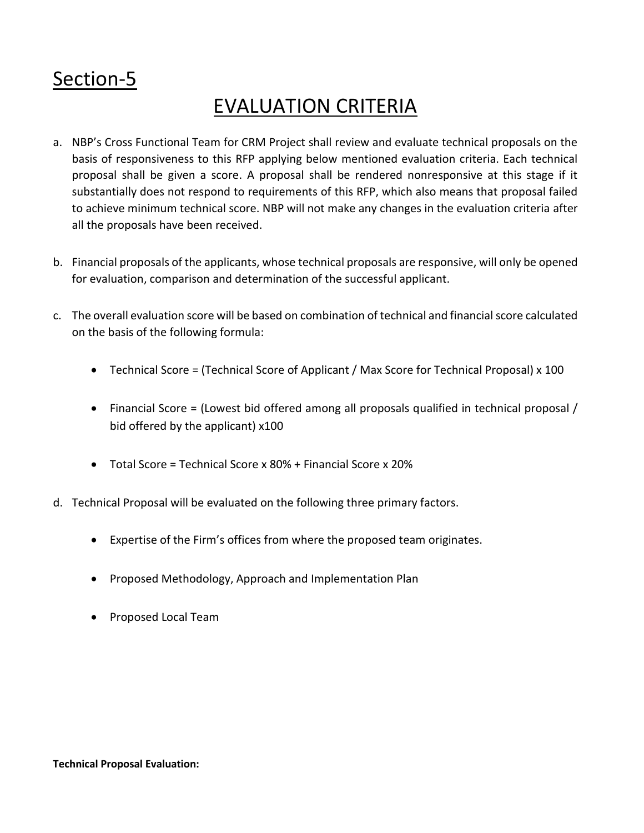## Section-5

## EVALUATION CRITERIA

- a. NBP's Cross Functional Team for CRM Project shall review and evaluate technical proposals on the basis of responsiveness to this RFP applying below mentioned evaluation criteria. Each technical proposal shall be given a score. A proposal shall be rendered nonresponsive at this stage if it substantially does not respond to requirements of this RFP, which also means that proposal failed to achieve minimum technical score. NBP will not make any changes in the evaluation criteria after all the proposals have been received.
- b. Financial proposals of the applicants, whose technical proposals are responsive, will only be opened for evaluation, comparison and determination of the successful applicant.
- c. The overall evaluation score will be based on combination of technical and financial score calculated on the basis of the following formula:
	- Technical Score = (Technical Score of Applicant / Max Score for Technical Proposal) x 100
	- Financial Score = (Lowest bid offered among all proposals qualified in technical proposal / bid offered by the applicant) x100
	- Total Score = Technical Score x 80% + Financial Score x 20%
- d. Technical Proposal will be evaluated on the following three primary factors.
	- Expertise of the Firm's offices from where the proposed team originates.
	- Proposed Methodology, Approach and Implementation Plan
	- Proposed Local Team

**Technical Proposal Evaluation:**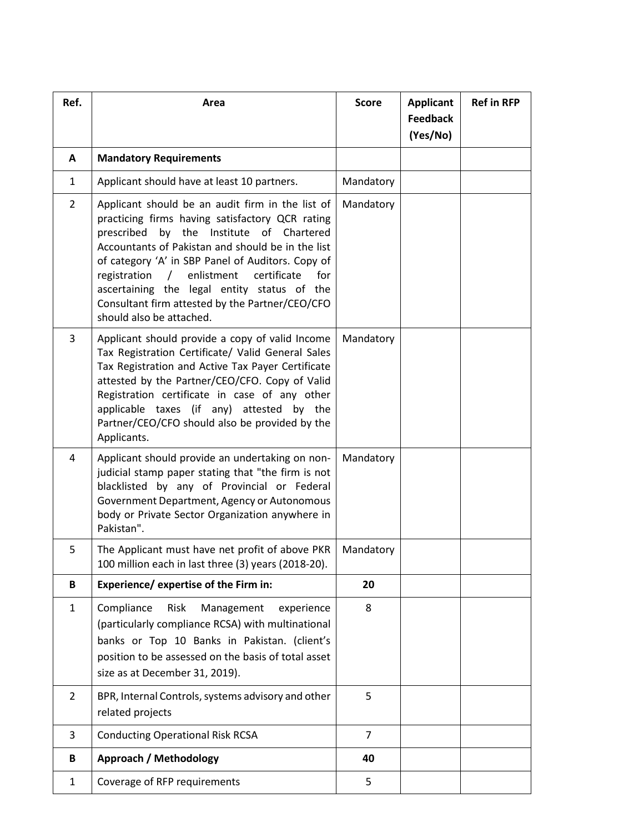| Ref.           | Area                                                                                                                                                                                                                                                                                                                                                                                                                                                         | <b>Score</b>   | <b>Applicant</b><br><b>Feedback</b><br>(Yes/No) | <b>Ref in RFP</b> |
|----------------|--------------------------------------------------------------------------------------------------------------------------------------------------------------------------------------------------------------------------------------------------------------------------------------------------------------------------------------------------------------------------------------------------------------------------------------------------------------|----------------|-------------------------------------------------|-------------------|
| A              | <b>Mandatory Requirements</b>                                                                                                                                                                                                                                                                                                                                                                                                                                |                |                                                 |                   |
| $\mathbf{1}$   | Applicant should have at least 10 partners.                                                                                                                                                                                                                                                                                                                                                                                                                  | Mandatory      |                                                 |                   |
| $\overline{2}$ | Applicant should be an audit firm in the list of<br>practicing firms having satisfactory QCR rating<br>by the Institute of Chartered<br>prescribed<br>Accountants of Pakistan and should be in the list<br>of category 'A' in SBP Panel of Auditors. Copy of<br>enlistment<br>certificate<br>registration<br>$\sqrt{2}$<br>for<br>ascertaining the legal entity status of the<br>Consultant firm attested by the Partner/CEO/CFO<br>should also be attached. | Mandatory      |                                                 |                   |
| 3              | Applicant should provide a copy of valid Income<br>Tax Registration Certificate/ Valid General Sales<br>Tax Registration and Active Tax Payer Certificate<br>attested by the Partner/CEO/CFO. Copy of Valid<br>Registration certificate in case of any other<br>applicable taxes (if any) attested by the<br>Partner/CEO/CFO should also be provided by the<br>Applicants.                                                                                   | Mandatory      |                                                 |                   |
| 4              | Applicant should provide an undertaking on non-<br>judicial stamp paper stating that "the firm is not<br>blacklisted by any of Provincial or Federal<br>Government Department, Agency or Autonomous<br>body or Private Sector Organization anywhere in<br>Pakistan".                                                                                                                                                                                         | Mandatory      |                                                 |                   |
| 5              | The Applicant must have net profit of above PKR<br>100 million each in last three (3) years (2018-20).                                                                                                                                                                                                                                                                                                                                                       | Mandatory      |                                                 |                   |
| B              | <b>Experience/ expertise of the Firm in:</b>                                                                                                                                                                                                                                                                                                                                                                                                                 | 20             |                                                 |                   |
| $\mathbf{1}$   | Compliance<br>Risk<br>Management<br>experience<br>(particularly compliance RCSA) with multinational<br>banks or Top 10 Banks in Pakistan. (client's<br>position to be assessed on the basis of total asset<br>size as at December 31, 2019).                                                                                                                                                                                                                 | 8              |                                                 |                   |
| $\overline{2}$ | BPR, Internal Controls, systems advisory and other<br>related projects                                                                                                                                                                                                                                                                                                                                                                                       | 5              |                                                 |                   |
| 3              | <b>Conducting Operational Risk RCSA</b>                                                                                                                                                                                                                                                                                                                                                                                                                      | $\overline{7}$ |                                                 |                   |
| B              | Approach / Methodology                                                                                                                                                                                                                                                                                                                                                                                                                                       | 40             |                                                 |                   |
| $\mathbf{1}$   | Coverage of RFP requirements                                                                                                                                                                                                                                                                                                                                                                                                                                 | 5              |                                                 |                   |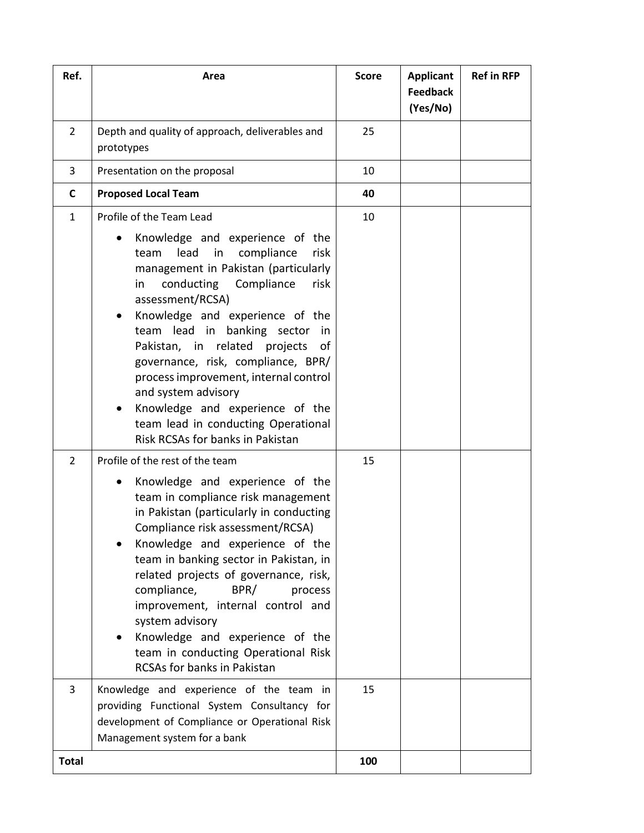| Ref.           | Area                                                                                                                                                                                                                                                                                                                                                                                                                                                                                                                              | <b>Score</b> | <b>Applicant</b><br><b>Feedback</b><br>(Yes/No) | <b>Ref in RFP</b> |
|----------------|-----------------------------------------------------------------------------------------------------------------------------------------------------------------------------------------------------------------------------------------------------------------------------------------------------------------------------------------------------------------------------------------------------------------------------------------------------------------------------------------------------------------------------------|--------------|-------------------------------------------------|-------------------|
| 2              | Depth and quality of approach, deliverables and<br>prototypes                                                                                                                                                                                                                                                                                                                                                                                                                                                                     | 25           |                                                 |                   |
| 3              | Presentation on the proposal                                                                                                                                                                                                                                                                                                                                                                                                                                                                                                      | 10           |                                                 |                   |
| $\mathsf{C}$   | <b>Proposed Local Team</b>                                                                                                                                                                                                                                                                                                                                                                                                                                                                                                        | 40           |                                                 |                   |
| $\mathbf{1}$   | Profile of the Team Lead                                                                                                                                                                                                                                                                                                                                                                                                                                                                                                          | 10           |                                                 |                   |
|                | Knowledge and experience of the<br>$\bullet$<br>lead<br>in<br>compliance<br>risk<br>team<br>management in Pakistan (particularly<br>conducting Compliance<br>risk<br>in<br>assessment/RCSA)<br>Knowledge and experience of the<br>lead in banking sector<br>team<br>in<br>Pakistan, in related projects<br>of<br>governance, risk, compliance, BPR/<br>process improvement, internal control<br>and system advisory<br>Knowledge and experience of the<br>team lead in conducting Operational<br>Risk RCSAs for banks in Pakistan |              |                                                 |                   |
| $\overline{2}$ | Profile of the rest of the team                                                                                                                                                                                                                                                                                                                                                                                                                                                                                                   | 15           |                                                 |                   |
|                | Knowledge and experience of the<br>team in compliance risk management<br>in Pakistan (particularly in conducting<br>Compliance risk assessment/RCSA)<br>Knowledge and experience of the<br>team in banking sector in Pakistan, in<br>related projects of governance, risk,<br>compliance,<br>BPR/<br>process<br>improvement, internal control and<br>system advisory<br>Knowledge and experience of the<br>team in conducting Operational Risk<br>RCSAs for banks in Pakistan                                                     |              |                                                 |                   |
| 3              | Knowledge and experience of the team in<br>providing Functional System Consultancy for<br>development of Compliance or Operational Risk<br>Management system for a bank                                                                                                                                                                                                                                                                                                                                                           | 15           |                                                 |                   |
| <b>Total</b>   |                                                                                                                                                                                                                                                                                                                                                                                                                                                                                                                                   | 100          |                                                 |                   |